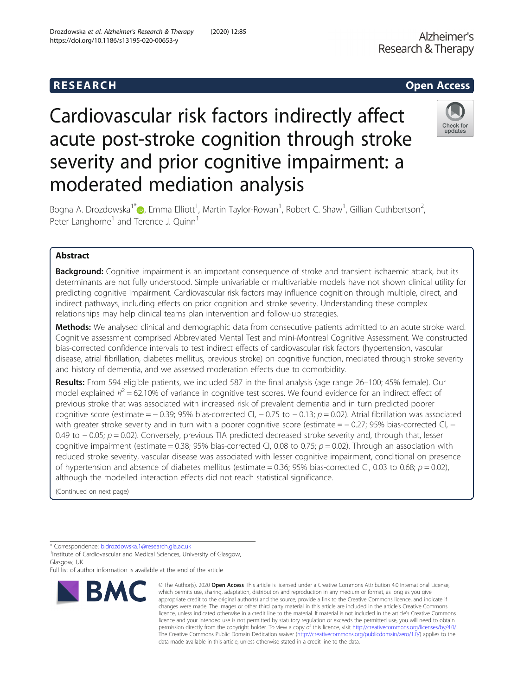# Cardiovascular risk factors indirectly affect acute post-stroke cognition through stroke severity and prior cognitive impairment: a moderated mediation analysis



Bogna A. Drozdowska $^{\text{1*}}$  $^{\text{1*}}$  $^{\text{1*}}$ ®, Emma Elliott $^{\text{1}}$ , Martin Taylor-Rowan $^{\text{1}}$ , Robert C. Shaw $^{\text{1}}$ , Gillian Cuthbertson $^{\text{2}}$ , Peter Langhorne<sup>1</sup> and Terence J. Quinn<sup>1</sup>

### Abstract

Background: Cognitive impairment is an important consequence of stroke and transient ischaemic attack, but its determinants are not fully understood. Simple univariable or multivariable models have not shown clinical utility for predicting cognitive impairment. Cardiovascular risk factors may influence cognition through multiple, direct, and indirect pathways, including effects on prior cognition and stroke severity. Understanding these complex relationships may help clinical teams plan intervention and follow-up strategies.

Methods: We analysed clinical and demographic data from consecutive patients admitted to an acute stroke ward. Cognitive assessment comprised Abbreviated Mental Test and mini-Montreal Cognitive Assessment. We constructed bias-corrected confidence intervals to test indirect effects of cardiovascular risk factors (hypertension, vascular disease, atrial fibrillation, diabetes mellitus, previous stroke) on cognitive function, mediated through stroke severity and history of dementia, and we assessed moderation effects due to comorbidity.

Results: From 594 eligible patients, we included 587 in the final analysis (age range 26-100; 45% female). Our model explained  $R^2 = 62.10\%$  of variance in cognitive test scores. We found evidence for an indirect effect of previous stroke that was associated with increased risk of prevalent dementia and in turn predicted poorer cognitive score (estimate =  $-0.39$ ; 95% bias-corrected CI,  $-0.75$  to  $-0.13$ ;  $p = 0.02$ ). Atrial fibrillation was associated with greater stroke severity and in turn with a poorer cognitive score (estimate = − 0.27; 95% bias-corrected CI, − 0.49 to  $-0.05$ ;  $p = 0.02$ ). Conversely, previous TIA predicted decreased stroke severity and, through that, lesser cognitive impairment (estimate = 0.38; 95% bias-corrected CI, 0.08 to 0.75;  $p = 0.02$ ). Through an association with reduced stroke severity, vascular disease was associated with lesser cognitive impairment, conditional on presence of hypertension and absence of diabetes mellitus (estimate = 0.36; 95% bias-corrected CI, 0.03 to 0.68;  $p = 0.02$ ), although the modelled interaction effects did not reach statistical significance.

(Continued on next page)

<sup>1</sup> Institute of Cardiovascular and Medical Sciences, University of Glasgow, Glasgow, UK

Full list of author information is available at the end of the article



<sup>©</sup> The Author(s), 2020 **Open Access** This article is licensed under a Creative Commons Attribution 4.0 International License, which permits use, sharing, adaptation, distribution and reproduction in any medium or format, as long as you give appropriate credit to the original author(s) and the source, provide a link to the Creative Commons licence, and indicate if changes were made. The images or other third party material in this article are included in the article's Creative Commons licence, unless indicated otherwise in a credit line to the material. If material is not included in the article's Creative Commons licence and your intended use is not permitted by statutory regulation or exceeds the permitted use, you will need to obtain permission directly from the copyright holder. To view a copy of this licence, visit [http://creativecommons.org/licenses/by/4.0/.](http://creativecommons.org/licenses/by/4.0/) The Creative Commons Public Domain Dedication waiver [\(http://creativecommons.org/publicdomain/zero/1.0/](http://creativecommons.org/publicdomain/zero/1.0/)) applies to the data made available in this article, unless otherwise stated in a credit line to the data.

<sup>\*</sup> Correspondence: [b.drozdowska.1@research.gla.ac.uk](mailto:b.drozdowska.1@research.gla.ac.uk) <sup>1</sup>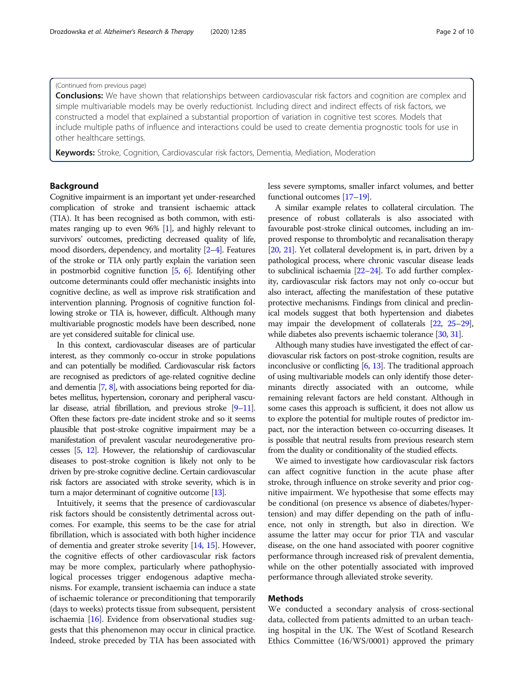#### (Continued from previous page)

**Conclusions:** We have shown that relationships between cardiovascular risk factors and cognition are complex and simple multivariable models may be overly reductionist. Including direct and indirect effects of risk factors, we constructed a model that explained a substantial proportion of variation in cognitive test scores. Models that include multiple paths of influence and interactions could be used to create dementia prognostic tools for use in other healthcare settings.

Keywords: Stroke, Cognition, Cardiovascular risk factors, Dementia, Mediation, Moderation

#### Background

Cognitive impairment is an important yet under-researched complication of stroke and transient ischaemic attack (TIA). It has been recognised as both common, with estimates ranging up to even 96% [\[1\]](#page-8-0), and highly relevant to survivors' outcomes, predicting decreased quality of life, mood disorders, dependency, and mortality [\[2](#page-8-0)–[4\]](#page-8-0). Features of the stroke or TIA only partly explain the variation seen in postmorbid cognitive function [\[5,](#page-8-0) [6\]](#page-8-0). Identifying other outcome determinants could offer mechanistic insights into cognitive decline, as well as improve risk stratification and intervention planning. Prognosis of cognitive function following stroke or TIA is, however, difficult. Although many multivariable prognostic models have been described, none are yet considered suitable for clinical use.

In this context, cardiovascular diseases are of particular interest, as they commonly co-occur in stroke populations and can potentially be modified. Cardiovascular risk factors are recognised as predictors of age-related cognitive decline and dementia [[7](#page-8-0), [8\]](#page-8-0), with associations being reported for diabetes mellitus, hypertension, coronary and peripheral vascular disease, atrial fibrillation, and previous stroke [\[9](#page-8-0)–[11\]](#page-8-0). Often these factors pre-date incident stroke and so it seems plausible that post-stroke cognitive impairment may be a manifestation of prevalent vascular neurodegenerative processes [\[5,](#page-8-0) [12](#page-8-0)]. However, the relationship of cardiovascular diseases to post-stroke cognition is likely not only to be driven by pre-stroke cognitive decline. Certain cardiovascular risk factors are associated with stroke severity, which is in turn a major determinant of cognitive outcome [\[13](#page-8-0)].

Intuitively, it seems that the presence of cardiovascular risk factors should be consistently detrimental across outcomes. For example, this seems to be the case for atrial fibrillation, which is associated with both higher incidence of dementia and greater stroke severity [\[14,](#page-8-0) [15](#page-8-0)]. However, the cognitive effects of other cardiovascular risk factors may be more complex, particularly where pathophysiological processes trigger endogenous adaptive mechanisms. For example, transient ischaemia can induce a state of ischaemic tolerance or preconditioning that temporarily (days to weeks) protects tissue from subsequent, persistent ischaemia [[16\]](#page-8-0). Evidence from observational studies suggests that this phenomenon may occur in clinical practice. Indeed, stroke preceded by TIA has been associated with less severe symptoms, smaller infarct volumes, and better functional outcomes [\[17](#page-8-0)–[19](#page-8-0)].

A similar example relates to collateral circulation. The presence of robust collaterals is also associated with favourable post-stroke clinical outcomes, including an improved response to thrombolytic and recanalisation therapy [[20](#page-8-0), [21\]](#page-8-0). Yet collateral development is, in part, driven by a pathological process, where chronic vascular disease leads to subclinical ischaemia [\[22](#page-8-0)–[24](#page-8-0)]. To add further complexity, cardiovascular risk factors may not only co-occur but also interact, affecting the manifestation of these putative protective mechanisms. Findings from clinical and preclinical models suggest that both hypertension and diabetes may impair the development of collaterals [\[22](#page-8-0), [25](#page-8-0)–[29](#page-8-0)], while diabetes also prevents ischaemic tolerance [\[30](#page-8-0), [31\]](#page-8-0).

Although many studies have investigated the effect of cardiovascular risk factors on post-stroke cognition, results are inconclusive or conflicting  $[6, 13]$  $[6, 13]$  $[6, 13]$ . The traditional approach of using multivariable models can only identify those determinants directly associated with an outcome, while remaining relevant factors are held constant. Although in some cases this approach is sufficient, it does not allow us to explore the potential for multiple routes of predictor impact, nor the interaction between co-occurring diseases. It is possible that neutral results from previous research stem from the duality or conditionality of the studied effects.

We aimed to investigate how cardiovascular risk factors can affect cognitive function in the acute phase after stroke, through influence on stroke severity and prior cognitive impairment. We hypothesise that some effects may be conditional (on presence vs absence of diabetes/hypertension) and may differ depending on the path of influence, not only in strength, but also in direction. We assume the latter may occur for prior TIA and vascular disease, on the one hand associated with poorer cognitive performance through increased risk of prevalent dementia, while on the other potentially associated with improved performance through alleviated stroke severity.

#### Methods

We conducted a secondary analysis of cross-sectional data, collected from patients admitted to an urban teaching hospital in the UK. The West of Scotland Research Ethics Committee (16/WS/0001) approved the primary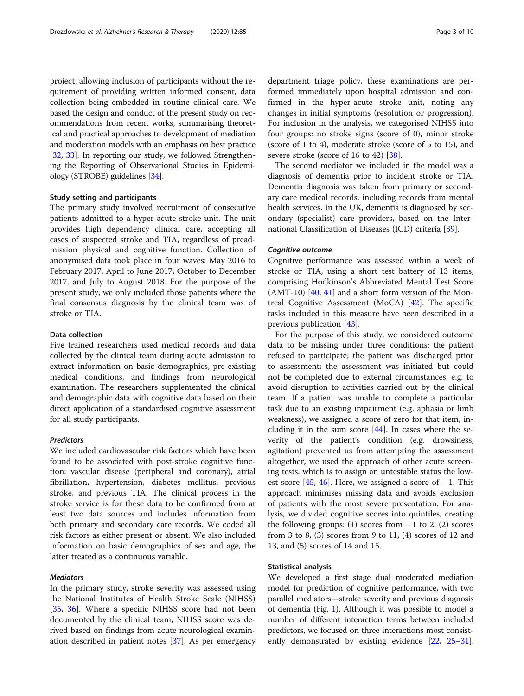project, allowing inclusion of participants without the requirement of providing written informed consent, data collection being embedded in routine clinical care. We based the design and conduct of the present study on recommendations from recent works, summarising theoretical and practical approaches to development of mediation and moderation models with an emphasis on best practice [[32](#page-8-0), [33\]](#page-8-0). In reporting our study, we followed Strengthening the Reporting of Observational Studies in Epidemiology (STROBE) guidelines [\[34](#page-8-0)].

#### Study setting and participants

The primary study involved recruitment of consecutive patients admitted to a hyper-acute stroke unit. The unit provides high dependency clinical care, accepting all cases of suspected stroke and TIA, regardless of preadmission physical and cognitive function. Collection of anonymised data took place in four waves: May 2016 to February 2017, April to June 2017, October to December 2017, and July to August 2018. For the purpose of the present study, we only included those patients where the final consensus diagnosis by the clinical team was of stroke or TIA.

#### Data collection

Five trained researchers used medical records and data collected by the clinical team during acute admission to extract information on basic demographics, pre-existing medical conditions, and findings from neurological examination. The researchers supplemented the clinical and demographic data with cognitive data based on their direct application of a standardised cognitive assessment for all study participants.

#### Predictors

We included cardiovascular risk factors which have been found to be associated with post-stroke cognitive function: vascular disease (peripheral and coronary), atrial fibrillation, hypertension, diabetes mellitus, previous stroke, and previous TIA. The clinical process in the stroke service is for these data to be confirmed from at least two data sources and includes information from both primary and secondary care records. We coded all risk factors as either present or absent. We also included information on basic demographics of sex and age, the latter treated as a continuous variable.

#### Mediators

In the primary study, stroke severity was assessed using the National Institutes of Health Stroke Scale (NIHSS) [[35,](#page-8-0) [36\]](#page-8-0). Where a specific NIHSS score had not been documented by the clinical team, NIHSS score was derived based on findings from acute neurological examination described in patient notes [\[37](#page-8-0)]. As per emergency

department triage policy, these examinations are performed immediately upon hospital admission and con-

firmed in the hyper-acute stroke unit, noting any changes in initial symptoms (resolution or progression). For inclusion in the analysis, we categorised NIHSS into four groups: no stroke signs (score of 0), minor stroke (score of 1 to 4), moderate stroke (score of 5 to 15), and severe stroke (score of 16 to 42) [\[38](#page-8-0)].

The second mediator we included in the model was a diagnosis of dementia prior to incident stroke or TIA. Dementia diagnosis was taken from primary or secondary care medical records, including records from mental health services. In the UK, dementia is diagnosed by secondary (specialist) care providers, based on the International Classification of Diseases (ICD) criteria [\[39](#page-8-0)].

#### Cognitive outcome

Cognitive performance was assessed within a week of stroke or TIA, using a short test battery of 13 items, comprising Hodkinson's Abbreviated Mental Test Score  $(AMT-10)$  [\[40](#page-8-0), [41\]](#page-8-0) and a short form version of the Montreal Cognitive Assessment (MoCA) [[42\]](#page-8-0). The specific tasks included in this measure have been described in a previous publication [\[43\]](#page-8-0).

For the purpose of this study, we considered outcome data to be missing under three conditions: the patient refused to participate; the patient was discharged prior to assessment; the assessment was initiated but could not be completed due to external circumstances, e.g. to avoid disruption to activities carried out by the clinical team. If a patient was unable to complete a particular task due to an existing impairment (e.g. aphasia or limb weakness), we assigned a score of zero for that item, including it in the sum score  $[44]$  $[44]$ . In cases where the severity of the patient's condition (e.g. drowsiness, agitation) prevented us from attempting the assessment altogether, we used the approach of other acute screening tests, which is to assign an untestable status the lowest score  $[45, 46]$  $[45, 46]$  $[45, 46]$  $[45, 46]$ . Here, we assigned a score of  $-1$ . This approach minimises missing data and avoids exclusion of patients with the most severe presentation. For analysis, we divided cognitive scores into quintiles, creating the following groups: (1) scores from  $-1$  to 2, (2) scores from 3 to 8, (3) scores from 9 to 11, (4) scores of 12 and 13, and (5) scores of 14 and 15.

#### Statistical analysis

We developed a first stage dual moderated mediation model for prediction of cognitive performance, with two parallel mediators—stroke severity and previous diagnosis of dementia (Fig. [1\)](#page-3-0). Although it was possible to model a number of different interaction terms between included predictors, we focused on three interactions most consistently demonstrated by existing evidence [\[22,](#page-8-0) [25](#page-8-0)–[31](#page-8-0)].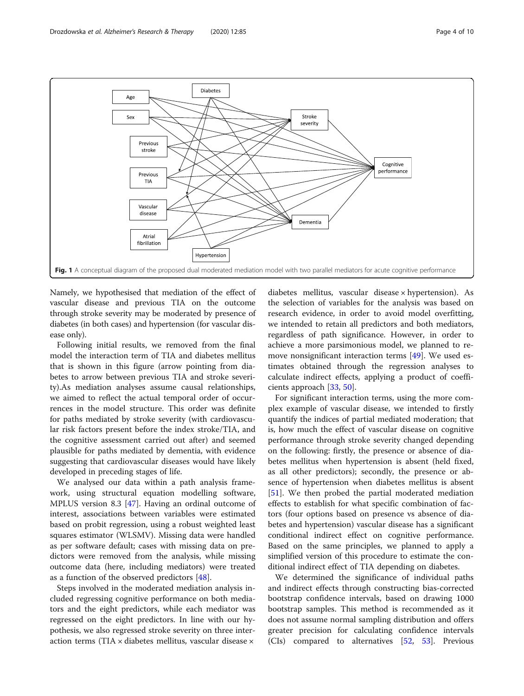<span id="page-3-0"></span>

Namely, we hypothesised that mediation of the effect of vascular disease and previous TIA on the outcome through stroke severity may be moderated by presence of diabetes (in both cases) and hypertension (for vascular disease only).

Following initial results, we removed from the final model the interaction term of TIA and diabetes mellitus that is shown in this figure (arrow pointing from diabetes to arrow between previous TIA and stroke severity).As mediation analyses assume causal relationships, we aimed to reflect the actual temporal order of occurrences in the model structure. This order was definite for paths mediated by stroke severity (with cardiovascular risk factors present before the index stroke/TIA, and the cognitive assessment carried out after) and seemed plausible for paths mediated by dementia, with evidence suggesting that cardiovascular diseases would have likely developed in preceding stages of life.

We analysed our data within a path analysis framework, using structural equation modelling software, MPLUS version 8.3 [[47\]](#page-9-0). Having an ordinal outcome of interest, associations between variables were estimated based on probit regression, using a robust weighted least squares estimator (WLSMV). Missing data were handled as per software default; cases with missing data on predictors were removed from the analysis, while missing outcome data (here, including mediators) were treated as a function of the observed predictors [[48](#page-9-0)].

Steps involved in the moderated mediation analysis included regressing cognitive performance on both mediators and the eight predictors, while each mediator was regressed on the eight predictors. In line with our hypothesis, we also regressed stroke severity on three interaction terms (TIA  $\times$  diabetes mellitus, vascular disease  $\times$ 

diabetes mellitus, vascular disease × hypertension). As the selection of variables for the analysis was based on research evidence, in order to avoid model overfitting, we intended to retain all predictors and both mediators, regardless of path significance. However, in order to achieve a more parsimonious model, we planned to remove nonsignificant interaction terms [[49](#page-9-0)]. We used estimates obtained through the regression analyses to calculate indirect effects, applying a product of coefficients approach [\[33](#page-8-0), [50\]](#page-9-0).

For significant interaction terms, using the more complex example of vascular disease, we intended to firstly quantify the indices of partial mediated moderation; that is, how much the effect of vascular disease on cognitive performance through stroke severity changed depending on the following: firstly, the presence or absence of diabetes mellitus when hypertension is absent (held fixed, as all other predictors); secondly, the presence or absence of hypertension when diabetes mellitus is absent [[51\]](#page-9-0). We then probed the partial moderated mediation effects to establish for what specific combination of factors (four options based on presence vs absence of diabetes and hypertension) vascular disease has a significant conditional indirect effect on cognitive performance. Based on the same principles, we planned to apply a simplified version of this procedure to estimate the conditional indirect effect of TIA depending on diabetes.

We determined the significance of individual paths and indirect effects through constructing bias-corrected bootstrap confidence intervals, based on drawing 1000 bootstrap samples. This method is recommended as it does not assume normal sampling distribution and offers greater precision for calculating confidence intervals (CIs) compared to alternatives [[52,](#page-9-0) [53](#page-9-0)]. Previous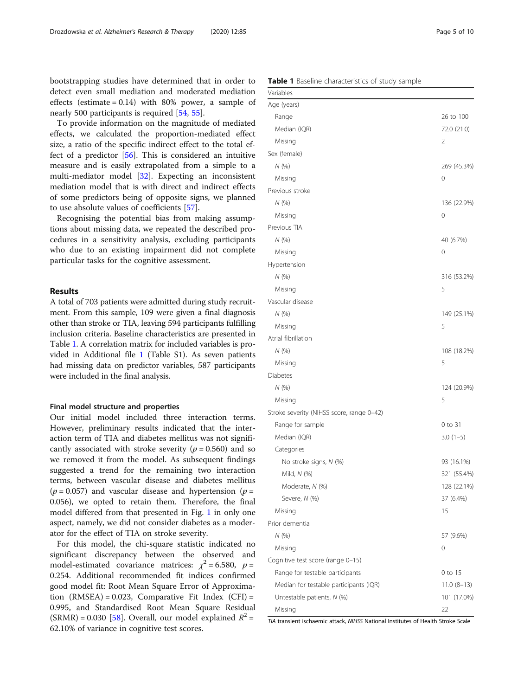bootstrapping studies have determined that in order to detect even small mediation and moderated mediation effects (estimate =  $0.14$ ) with 80% power, a sample of nearly 500 participants is required [[54,](#page-9-0) [55\]](#page-9-0).

To provide information on the magnitude of mediated effects, we calculated the proportion-mediated effect size, a ratio of the specific indirect effect to the total effect of a predictor [[56\]](#page-9-0). This is considered an intuitive measure and is easily extrapolated from a simple to a multi-mediator model [[32\]](#page-8-0). Expecting an inconsistent mediation model that is with direct and indirect effects of some predictors being of opposite signs, we planned to use absolute values of coefficients [[57\]](#page-9-0).

Recognising the potential bias from making assumptions about missing data, we repeated the described procedures in a sensitivity analysis, excluding participants who due to an existing impairment did not complete particular tasks for the cognitive assessment.

#### Results

A total of 703 patients were admitted during study recruitment. From this sample, 109 were given a final diagnosis other than stroke or TIA, leaving 594 participants fulfilling inclusion criteria. Baseline characteristics are presented in Table 1. A correlation matrix for included variables is provided in Additional file [1](#page-7-0) (Table S1). As seven patients had missing data on predictor variables, 587 participants were included in the final analysis.

#### Final model structure and properties

Our initial model included three interaction terms. However, preliminary results indicated that the interaction term of TIA and diabetes mellitus was not significantly associated with stroke severity ( $p = 0.560$ ) and so we removed it from the model. As subsequent findings suggested a trend for the remaining two interaction terms, between vascular disease and diabetes mellitus  $(p = 0.057)$  and vascular disease and hypertension  $(p = 0.057)$ 0.056), we opted to retain them. Therefore, the final model differed from that presented in Fig. [1](#page-3-0) in only one aspect, namely, we did not consider diabetes as a moderator for the effect of TIA on stroke severity.

For this model, the chi-square statistic indicated no significant discrepancy between the observed and model-estimated covariance matrices:  $\chi^2$  = 6.580, p = 0.254. Additional recommended fit indices confirmed good model fit: Root Mean Square Error of Approximation  $(RMSEA) = 0.023$ , Comparative Fit Index  $(CFI) =$ 0.995, and Standardised Root Mean Square Residual (SRMR) = 0.030 [\[58](#page-9-0)]. Overall, our model explained  $R^2$  = 62.10% of variance in cognitive test scores.

| Table 1 Baseline characteristics of study sample |
|--------------------------------------------------|
|--------------------------------------------------|

| Variables                                         |                    |
|---------------------------------------------------|--------------------|
| Age (years)                                       |                    |
| Range                                             | 26 to 100          |
| Median (IQR)                                      | 72.0 (21.0)        |
| Missing                                           | 2                  |
| Sex (female)                                      |                    |
| N(%)                                              | 269 (45.3%)        |
| Missing                                           | 0                  |
| Previous stroke                                   |                    |
| N(%)                                              | 136 (22.9%)        |
| Missing                                           | 0                  |
| Previous TIA                                      |                    |
| N(%)                                              | 40 (6.7%)          |
| Missing                                           | 0                  |
| Hypertension                                      |                    |
| N(%)                                              | 316 (53.2%)        |
| Missing                                           | 5                  |
| Vascular disease                                  |                    |
| N(%)                                              | 149 (25.1%)        |
| Missing                                           | 5                  |
| Atrial fibrillation                               |                    |
| N (%)                                             | 108 (18.2%)        |
| Missing                                           | 5                  |
| Diabetes                                          |                    |
| N(%)                                              | 124 (20.9%)        |
| Missing                                           | 5                  |
| Stroke severity (NIHSS score, range 0-42)         |                    |
| Range for sample                                  | 0 to 31            |
| Median (IQR)                                      | $3.0(1-5)$         |
| Categories                                        |                    |
| No stroke signs, N (%)                            | 93 (16.1%)         |
| Mild, N (%)                                       | 321 (55.4%)        |
| Moderate, N (%)                                   | 128 (22.1%)        |
| Severe, N (%)                                     | 37 (6.4%)          |
| Missing                                           | 15                 |
| Prior dementia                                    |                    |
| N(%)                                              | 57 (9.6%)          |
| Missing                                           | 0                  |
| Cognitive test score (range 0-15)                 |                    |
| Range for testable participants                   | 0 to 15            |
| Median for testable participants (IQR)            | $11.0(8-13)$       |
| Untestable patients, N (%)                        | 101 (17.0%)        |
| Missing<br><b>Hack AllLICC Notional Institute</b> | 22<br>$C + \infty$ |

ient ischaemic attack, NIHSS National Institutes of Health Stroke S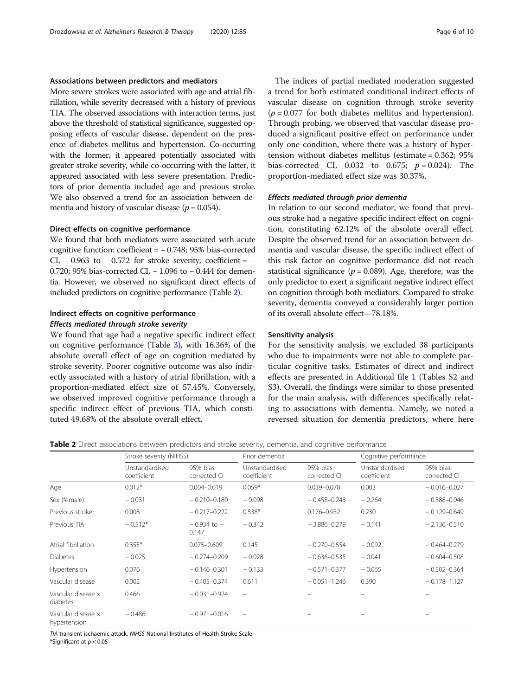#### Associations between predictors and mediators

More severe strokes were associated with age and atrial fibrillation, while severity decreased with a history of previous TIA. The observed associations with interaction terms, just above the threshold of statistical significance, suggested opposing effects of vascular disease, dependent on the presence of diabetes mellitus and hypertension. Co-occurring with the former, it appeared potentially associated with greater stroke severity, while co-occurring with the latter, it appeared associated with less severe presentation. Predictors of prior dementia included age and previous stroke. We also observed a trend for an association between dementia and history of vascular disease ( $p = 0.054$ ).

#### Direct effects on cognitive performance

We found that both mediators were associated with acute cognitive function: coefficient = − 0.748; 95% bias-corrected CI,  $-0.963$  to  $-0.572$  for stroke severity; coefficient =  $-$ 0.720; 95% bias-corrected CI, – 1.096 to – 0.444 for dementia. However, we observed no significant direct effects of included predictors on cognitive performance (Table 2).

#### Indirect effects on cognitive performance Effects mediated through stroke severity

We found that age had a negative specific indirect effect on cognitive performance (Table [3](#page-6-0)), with 16.36% of the absolute overall effect of age on cognition mediated by stroke severity. Poorer cognitive outcome was also indirectly associated with a history of atrial fibrillation, with a proportion-mediated effect size of 57.45%. Conversely, we observed improved cognitive performance through a specific indirect effect of previous TIA, which constituted 49.68% of the absolute overall effect.

The indices of partial mediated moderation suggested a trend for both estimated conditional indirect effects of vascular disease on cognition through stroke severity  $(p = 0.077)$  for both diabetes mellitus and hypertension). Through probing, we observed that vascular disease produced a significant positive effect on performance under only one condition, where there was a history of hypertension without diabetes mellitus (estimate = 0.362; 95% bias-corrected CI, 0.032 to 0.675;  $p = 0.024$ ). The proportion-mediated effect size was 30.37%.

#### Effects mediated through prior dementia

In relation to our second mediator, we found that previous stroke had a negative specific indirect effect on cognition, constituting 62.12% of the absolute overall effect. Despite the observed trend for an association between dementia and vascular disease, the specific indirect effect of this risk factor on cognitive performance did not reach statistical significance ( $p = 0.089$ ). Age, therefore, was the only predictor to exert a significant negative indirect effect on cognition through both mediators. Compared to stroke severity, dementia conveyed a considerably larger portion of its overall absolute effect—78.18%.

#### Sensitivity analysis

For the sensitivity analysis, we excluded 38 participants who due to impairments were not able to complete particular cognitive tasks. Estimates of direct and indirect effects are presented in Additional file [1](#page-7-0) (Tables S2 and S3). Overall, the findings were similar to those presented for the main analysis, with differences specifically relating to associations with dementia. Namely, we noted a reversed situation for dementia predictors, where here

Table 2 Direct associations between predictors and stroke severity, dementia, and cognitive performance

|                                           | Stroke severity (NIHSS)       |                           | Prior dementia                |                           | Cognitive performance         |                           |
|-------------------------------------------|-------------------------------|---------------------------|-------------------------------|---------------------------|-------------------------------|---------------------------|
|                                           | Unstandardised<br>coefficient | 95% bias-<br>corrected CI | Unstandardised<br>coefficient | 95% bias-<br>corrected CI | Unstandardised<br>coefficient | 95% bias-<br>corrected CI |
| Age                                       | $0.012*$                      | $0.004 - 0.019$           | $0.059*$                      | 0.039-0.078               | 0.003                         | $-0.016 - 0.027$          |
| Sex (female)                              | $-0.031$                      | $-0.210 - 0.180$          | $-0.098$                      | $-0.458 - 0.248$          | $-0.264$                      | $-0.588 - 0.046$          |
| Previous stroke                           | 0.008                         | $-0.217 - 0.222$          | $0.538*$                      | $0.176 - 0.932$           | 0.230                         | $-0.129 - 0.649$          |
| Previous TIA                              | $-0.512*$                     | $-0.934$ to $-$<br>0.147  | $-0.342$                      | $-3.886 - 0.279$          | $-0.141$                      | $-2.136 - 0.510$          |
| Atrial fibrillation                       | $0.355*$                      | $0.075 - 0.609$           | 0.145                         | $-0.270 - 0.554$          | $-0.092$                      | $-0.464 - 0.279$          |
| <b>Diabetes</b>                           | $-0.025$                      | $-0.274 - 0.209$          | $-0.028$                      | $-0.636 - 0.535$          | $-0.041$                      | $-0.604 - 0.508$          |
| Hypertension                              | 0.076                         | $-0.146 - 0.301$          | $-0.133$                      | $-0.571 - 0.377$          | $-0.065$                      | $-0.502 - 0.364$          |
| Vascular disease                          | 0.002                         | $-0.405 - 0.374$          | 0.611                         | $-0.051 - 1.246$          | 0.390                         | $-0.178 - 1.127$          |
| Vascular disease $\times$<br>diabetes     | 0.466                         | $-0.031 - 0.924$          | $\overline{\phantom{m}}$      |                           |                               |                           |
| Vascular disease $\times$<br>hypertension | $-0.486$                      | $-0.971 - 0.016$          | $\qquad \qquad =$             |                           |                               |                           |

TIA transient ischaemic attack, NIHSS National Institutes of Health Stroke Scale

\*Significant at  $p < 0.05$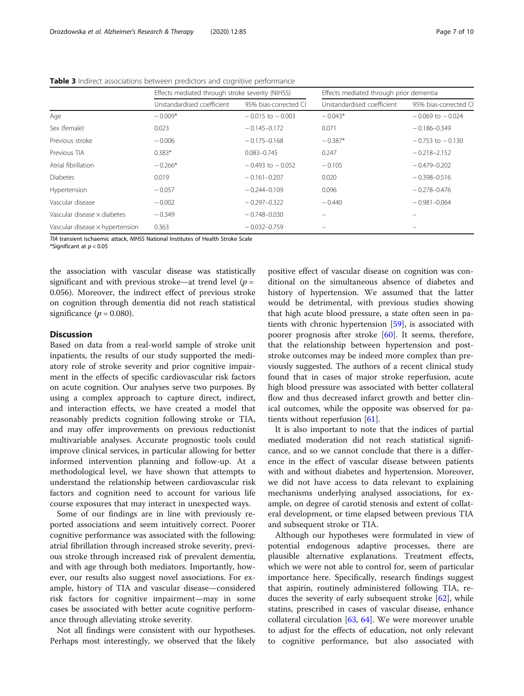|                                 | Effects mediated through stroke severity (NIHSS) |                       | Effects mediated through prior dementia |                       |  |
|---------------------------------|--------------------------------------------------|-----------------------|-----------------------------------------|-----------------------|--|
|                                 | Unstandardised coefficient                       | 95% bias-corrected CI | Unstandardised coefficient              | 95% bias-corrected CI |  |
| Age                             | $-0.009*$                                        | $-0.015$ to $-0.003$  | $-0.043*$                               | $-0.069$ to $-0.024$  |  |
| Sex (female)                    | 0.023                                            | $-0.145 - 0.172$      | 0.071                                   | $-0.186 - 0.349$      |  |
| Previous stroke                 | $-0.006$                                         | $-0.175 - 0.168$      | $-0.387*$                               | $-0.753$ to $-0.130$  |  |
| Previous TIA                    | $0.383*$                                         | $0.083 - 0.745$       | 0.247                                   | $-0.218 - 2.152$      |  |
| Atrial fibrillation             | $-0.266*$                                        | $-0.493$ to $-0.052$  | $-0.105$                                | $-0.479 - 0.202$      |  |
| <b>Diabetes</b>                 | 0.019                                            | $-0.161 - 0.207$      | 0.020                                   | $-0.398 - 0.516$      |  |
| Hypertension                    | $-0.057$                                         | $-0.244 - 0.109$      | 0.096                                   | $-0.278 - 0.476$      |  |
| Vascular disease                | $-0.002$                                         | $-0.297 - 0.322$      | $-0.440$                                | $-0.981 - 0.064$      |  |
| Vascular disease x diabetes     | $-0.349$                                         | $-0.748 - 0.030$      |                                         |                       |  |
| Vascular disease x hypertension | 0.363                                            | $-0.032 - 0.759$      |                                         |                       |  |

<span id="page-6-0"></span>Table 3 Indirect associations between predictors and cognitive performance

TIA transient ischaemic attack, NIHSS National Institutes of Health Stroke Scale

\*Significant at  $p < 0.05$ 

the association with vascular disease was statistically significant and with previous stroke—at trend level ( $p =$ 0.056). Moreover, the indirect effect of previous stroke on cognition through dementia did not reach statistical significance ( $p = 0.080$ ).

#### **Discussion**

Based on data from a real-world sample of stroke unit inpatients, the results of our study supported the mediatory role of stroke severity and prior cognitive impairment in the effects of specific cardiovascular risk factors on acute cognition. Our analyses serve two purposes. By using a complex approach to capture direct, indirect, and interaction effects, we have created a model that reasonably predicts cognition following stroke or TIA, and may offer improvements on previous reductionist multivariable analyses. Accurate prognostic tools could improve clinical services, in particular allowing for better informed intervention planning and follow-up. At a methodological level, we have shown that attempts to understand the relationship between cardiovascular risk factors and cognition need to account for various life course exposures that may interact in unexpected ways.

Some of our findings are in line with previously reported associations and seem intuitively correct. Poorer cognitive performance was associated with the following: atrial fibrillation through increased stroke severity, previous stroke through increased risk of prevalent dementia, and with age through both mediators. Importantly, however, our results also suggest novel associations. For example, history of TIA and vascular disease—considered risk factors for cognitive impairment—may in some cases be associated with better acute cognitive performance through alleviating stroke severity.

Not all findings were consistent with our hypotheses. Perhaps most interestingly, we observed that the likely positive effect of vascular disease on cognition was conditional on the simultaneous absence of diabetes and history of hypertension. We assumed that the latter would be detrimental, with previous studies showing that high acute blood pressure, a state often seen in patients with chronic hypertension [[59\]](#page-9-0), is associated with poorer prognosis after stroke [[60\]](#page-9-0). It seems, therefore, that the relationship between hypertension and poststroke outcomes may be indeed more complex than previously suggested. The authors of a recent clinical study found that in cases of major stroke reperfusion, acute high blood pressure was associated with better collateral flow and thus decreased infarct growth and better clinical outcomes, while the opposite was observed for patients without reperfusion [\[61\]](#page-9-0).

It is also important to note that the indices of partial mediated moderation did not reach statistical significance, and so we cannot conclude that there is a difference in the effect of vascular disease between patients with and without diabetes and hypertension. Moreover, we did not have access to data relevant to explaining mechanisms underlying analysed associations, for example, on degree of carotid stenosis and extent of collateral development, or time elapsed between previous TIA and subsequent stroke or TIA.

Although our hypotheses were formulated in view of potential endogenous adaptive processes, there are plausible alternative explanations. Treatment effects, which we were not able to control for, seem of particular importance here. Specifically, research findings suggest that aspirin, routinely administered following TIA, reduces the severity of early subsequent stroke [\[62](#page-9-0)], while statins, prescribed in cases of vascular disease, enhance collateral circulation [\[63](#page-9-0), [64](#page-9-0)]. We were moreover unable to adjust for the effects of education, not only relevant to cognitive performance, but also associated with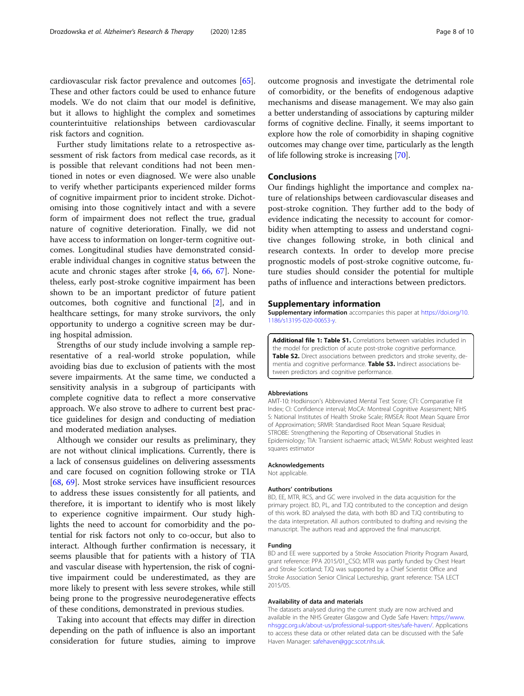<span id="page-7-0"></span>cardiovascular risk factor prevalence and outcomes [\[65](#page-9-0)]. These and other factors could be used to enhance future models. We do not claim that our model is definitive, but it allows to highlight the complex and sometimes counterintuitive relationships between cardiovascular risk factors and cognition.

Further study limitations relate to a retrospective assessment of risk factors from medical case records, as it is possible that relevant conditions had not been mentioned in notes or even diagnosed. We were also unable to verify whether participants experienced milder forms of cognitive impairment prior to incident stroke. Dichotomising into those cognitively intact and with a severe form of impairment does not reflect the true, gradual nature of cognitive deterioration. Finally, we did not have access to information on longer-term cognitive outcomes. Longitudinal studies have demonstrated considerable individual changes in cognitive status between the acute and chronic stages after stroke [[4,](#page-8-0) [66](#page-9-0), [67](#page-9-0)]. Nonetheless, early post-stroke cognitive impairment has been shown to be an important predictor of future patient outcomes, both cognitive and functional [[2\]](#page-8-0), and in healthcare settings, for many stroke survivors, the only opportunity to undergo a cognitive screen may be during hospital admission.

Strengths of our study include involving a sample representative of a real-world stroke population, while avoiding bias due to exclusion of patients with the most severe impairments. At the same time, we conducted a sensitivity analysis in a subgroup of participants with complete cognitive data to reflect a more conservative approach. We also strove to adhere to current best practice guidelines for design and conducting of mediation and moderated mediation analyses.

Although we consider our results as preliminary, they are not without clinical implications. Currently, there is a lack of consensus guidelines on delivering assessments and care focused on cognition following stroke or TIA [[68,](#page-9-0) [69\]](#page-9-0). Most stroke services have insufficient resources to address these issues consistently for all patients, and therefore, it is important to identify who is most likely to experience cognitive impairment. Our study highlights the need to account for comorbidity and the potential for risk factors not only to co-occur, but also to interact. Although further confirmation is necessary, it seems plausible that for patients with a history of TIA and vascular disease with hypertension, the risk of cognitive impairment could be underestimated, as they are more likely to present with less severe strokes, while still being prone to the progressive neurodegenerative effects of these conditions, demonstrated in previous studies.

Taking into account that effects may differ in direction depending on the path of influence is also an important consideration for future studies, aiming to improve outcome prognosis and investigate the detrimental role of comorbidity, or the benefits of endogenous adaptive mechanisms and disease management. We may also gain a better understanding of associations by capturing milder forms of cognitive decline. Finally, it seems important to explore how the role of comorbidity in shaping cognitive outcomes may change over time, particularly as the length of life following stroke is increasing [[70](#page-9-0)].

#### Conclusions

Our findings highlight the importance and complex nature of relationships between cardiovascular diseases and post-stroke cognition. They further add to the body of evidence indicating the necessity to account for comorbidity when attempting to assess and understand cognitive changes following stroke, in both clinical and research contexts. In order to develop more precise prognostic models of post-stroke cognitive outcome, future studies should consider the potential for multiple paths of influence and interactions between predictors.

#### Supplementary information

Supplementary information accompanies this paper at [https://doi.org/10.](https://doi.org/10.1186/s13195-020-00653-y) [1186/s13195-020-00653-y](https://doi.org/10.1186/s13195-020-00653-y).

Additional file 1: Table S1. Correlations between variables included in the model for prediction of acute post-stroke cognitive performance. Table S2. Direct associations between predictors and stroke severity, dementia and cognitive performance. Table S3. Indirect associations between predictors and cognitive performance.

#### **Abbreviations**

AMT-10: Hodkinson's Abbreviated Mental Test Score; CFI: Comparative Fit Index; CI: Confidence interval; MoCA: Montreal Cognitive Assessment; NIHS S: National Institutes of Health Stroke Scale; RMSEA: Root Mean Square Error of Approximation; SRMR: Standardised Root Mean Square Residual; STROBE: Strengthening the Reporting of Observational Studies in Epidemiology; TIA: Transient ischaemic attack; WLSMV: Robust weighted least squares estimator

#### Acknowledgements

Not applicable

#### Authors' contributions

BD, EE, MTR, RCS, and GC were involved in the data acquisition for the primary project. BD, PL, and TJQ contributed to the conception and design of this work. BD analysed the data, with both BD and TJQ contributing to the data interpretation. All authors contributed to drafting and revising the manuscript. The authors read and approved the final manuscript.

#### Funding

BD and EE were supported by a Stroke Association Priority Program Award, grant reference: PPA 2015/01\_CSO; MTR was partly funded by Chest Heart and Stroke Scotland; TJQ was supported by a Chief Scientist Office and Stroke Association Senior Clinical Lectureship, grant reference: TSA LECT 2015/05.

#### Availability of data and materials

The datasets analysed during the current study are now archived and available in the NHS Greater Glasgow and Clyde Safe Haven: [https://www.](https://www.nhsggc.org.uk/about-us/professional-support-sites/safe-haven/) [nhsggc.org.uk/about-us/professional-support-sites/safe-haven/.](https://www.nhsggc.org.uk/about-us/professional-support-sites/safe-haven/) Applications to access these data or other related data can be discussed with the Safe Haven Manager: [safehaven@ggc.scot.nhs.uk](mailto:safehaven@ggc.scot.nhs.uk).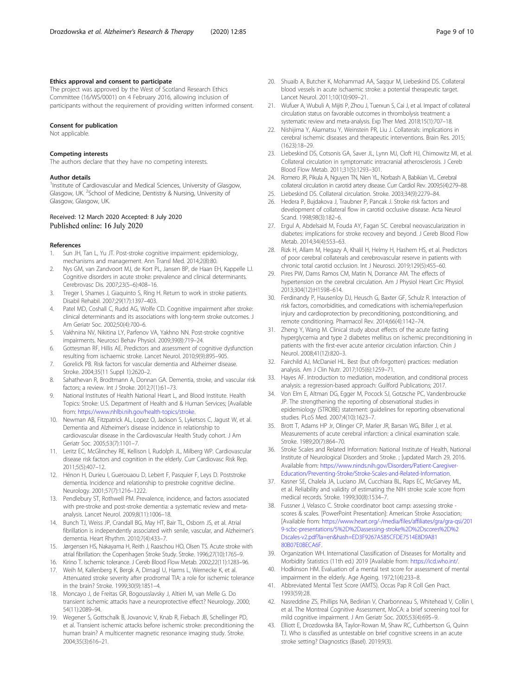#### <span id="page-8-0"></span>Ethics approval and consent to participate

The project was approved by the West of Scotland Research Ethics Committee (16/WS/0001) on 4 February 2016, allowing inclusion of participants without the requirement of providing written informed consent.

#### Consent for publication

Not applicable.

#### Competing interests

The authors declare that they have no competing interests.

#### Author details

<sup>1</sup>Institute of Cardiovascular and Medical Sciences, University of Glasgow, Glasgow, UK. <sup>2</sup>School of Medicine, Dentistry & Nursing, University of Glasgow, Glasgow, UK.

## Received: 12 March 2020 Accepted: 8 July 2020<br>Published online: 16 July 2020

#### References

- 1. Sun JH, Tan L, Yu JT. Post-stroke cognitive impairment: epidemiology, mechanisms and management. Ann Transl Med. 2014;2(8):80.
- 2. Nys GM, van Zandvoort MJ, de Kort PL, Jansen BP, de Haan EH, Kappelle LJ. Cognitive disorders in acute stroke: prevalence and clinical determinants. Cerebrovasc Dis. 2007;23(5–6):408–16.
- 3. Treger I, Shames J, Giaquinto S, Ring H. Return to work in stroke patients. Disabil Rehabil. 2007;29(17):1397–403.
- 4. Patel MD, Coshall C, Rudd AG, Wolfe CD. Cognitive impairment after stroke: clinical determinants and its associations with long-term stroke outcomes. J Am Geriatr Soc. 2002;50(4):700–6.
- 5. Vakhnina NV, Nikitina LY, Parfenov VA, Yakhno NN. Post-stroke cognitive impairments. Neurosci Behav Physiol. 2009;39(8):719–24.
- 6. Gottesman RF, Hillis AE. Predictors and assessment of cognitive dysfunction resulting from ischaemic stroke. Lancet Neurol. 2010;9(9):895–905.
- 7. Gorelick PB. Risk factors for vascular dementia and Alzheimer disease. Stroke. 2004;35(11 Suppl 1):2620–2.
- 8. Sahathevan R, Brodtmann A, Donnan GA. Dementia, stroke, and vascular risk factors; a review. Int J Stroke. 2012;7(1):61–73.
- 9. National Institutes of Health National Heart L, and Blood Institute. Health Topics: Stroke: U.S. Department of Health and & Human Services; [Available from: <https://www.nhlbi.nih.gov/health-topics/stroke>.
- 10. Newman AB, Fitzpatrick AL, Lopez O, Jackson S, Lyketsos C, Jagust W, et al. Dementia and Alzheimer's disease incidence in relationship to cardiovascular disease in the Cardiovascular Health Study cohort. J Am Geriatr Soc. 2005;53(7):1101–7.
- 11. Leritz EC, McGlinchey RE, Kellison I, Rudolph JL, Milberg WP. Cardiovascular disease risk factors and cognition in the elderly. Curr Cardiovasc Risk Rep. 2011;5(5):407–12.
- 12. Hénon H, Durieu I, Guerouaou D, Lebert F, Pasquier F, Leys D. Poststroke dementia. Incidence and relationship to prestroke cognitive decline. Neurology. 2001;57(7):1216–1222.
- 13. Pendlebury ST, Rothwell PM. Prevalence, incidence, and factors associated with pre-stroke and post-stroke dementia: a systematic review and metaanalysis. Lancet Neurol. 2009;8(11):1006–18.
- 14. Bunch TJ, Weiss JP, Crandall BG, May HT, Bair TL, Osborn JS, et al. Atrial fibrillation is independently associated with senile, vascular, and Alzheimer's dementia. Heart Rhythm. 2010;7(4):433–7.
- 15. Jørgensen HS, Nakayama H, Reith J, Raaschou HO, Olsen TS. Acute stroke with atrial fibrillation: the Copenhagen Stroke Study. Stroke. 1996;27(10):1765–9.
- 16. Kirino T. Ischemic tolerance. J Cereb Blood Flow Metab. 2002;22(11):1283–96. 17. Weih M, Kallenberg K, Bergk A, Dirnagl U, Harms L, Wernecke K, et al. Attenuated stroke severity after prodromal TIA: a role for ischemic tolerance in the brain? Stroke. 1999;30(9):1851–4.
- 18. Moncayo J, de Freitas GR, Bogousslavsky J, Altieri M, van Melle G. Do transient ischemic attacks have a neuroprotective effect? Neurology. 2000; 54(11):2089–94.
- 19. Wegener S, Gottschalk B, Jovanovic V, Knab R, Fiebach JB, Schellinger PD, et al. Transient ischemic attacks before ischemic stroke: preconditioning the human brain? A multicenter magnetic resonance imaging study. Stroke. 2004;35(3):616–21.
- 20. Shuaib A, Butcher K, Mohammad AA, Saqqur M, Liebeskind DS. Collateral blood vessels in acute ischaemic stroke: a potential therapeutic target. Lancet Neurol. 2011;10(10):909–21.
- 21. Wufuer A, Wubuli A, Mijiti P, Zhou J, Tuerxun S, Cai J, et al. Impact of collateral circulation status on favorable outcomes in thrombolysis treatment: a systematic review and meta-analysis. Exp Ther Med. 2018;15(1):707–18.
- 22. Nishijima Y, Akamatsu Y, Weinstein PR, Liu J. Collaterals: implications in cerebral ischemic diseases and therapeutic interventions. Brain Res. 2015; (1623):18–29.
- 23. Liebeskind DS, Cotsonis GA, Saver JL, Lynn MJ, Cloft HJ, Chimowitz MI, et al. Collateral circulation in symptomatic intracranial atherosclerosis. J Cereb Blood Flow Metab. 2011;31(5):1293–301.
- 24. Romero JR, Pikula A, Nguyen TN, Nien YL, Norbash A, Babikian VL. Cerebral collateral circulation in carotid artery disease. Curr Cardiol Rev. 2009;5(4):279–88.
- 25. Liebeskind DS. Collateral circulation. Stroke. 2003;34(9):2279–84.
- 26. Hedera P, Bujdakova J, Traubner P, Pancak J. Stroke risk factors and development of collateral flow in carotid occlusive disease. Acta Neurol Scand. 1998;98(3):182–6.
- 27. Ergul A, Abdelsaid M, Fouda AY, Fagan SC. Cerebral neovascularization in diabetes: implications for stroke recovery and beyond. J Cereb Blood Flow Metab. 2014;34(4):553–63.
- 28. Rizk H, Allam M, Hegazy A, Khalil H, Helmy H, Hashem HS, et al. Predictors of poor cerebral collaterals and cerebrovascular reserve in patients with chronic total carotid occlusion. Int J Neurosci. 2019;129(5):455–60.
- 29. Pires PW, Dams Ramos CM, Matin N, Dorrance AM. The effects of hypertension on the cerebral circulation. Am J Physiol Heart Circ Physiol. 2013;304(12):H1598–614.
- 30. Ferdinandy P, Hausenloy DJ, Heusch G, Baxter GF, Schulz R. Interaction of risk factors, comorbidities, and comedications with ischemia/reperfusion injury and cardioprotection by preconditioning, postconditioning, and remote conditioning. Pharmacol Rev. 2014;66(4):1142–74.
- 31. Zheng Y, Wang M. Clinical study about effects of the acute fasting hyperglycemia and type 2 diabetes mellitus on ischemic preconditioning in patients with the first-ever acute anterior circulation infarction. Chin J Neurol. 2008;41(12):820–3.
- 32. Fairchild AJ, McDaniel HL. Best (but oft-forgotten) practices: mediation analysis. Am J Clin Nutr. 2017;105(6):1259–71.
- 33. Hayes AF. Introduction to mediation, moderation, and conditional process analysis: a regression-based approach: Guilford Publications; 2017.
- 34. Von Elm E, Altman DG, Egger M, Pocock SJ, Gotzsche PC, Vandenbroucke JP. The strengthening the reporting of observational studies in epidemiology (STROBE) statement: guidelines for reporting observational studies. PLoS Med. 2007;4(10):1623–7.
- 35. Brott T, Adams HP Jr, Olinger CP, Marler JR, Barsan WG, Biller J, et al. Measurements of acute cerebral infarction: a clinical examination scale. Stroke. 1989;20(7):864–70.
- Stroke Scales and Related Information: National Institute of Health, National Institute of Neurological Disorders and Stroke. ; [updated March 29, 2016. Available from: [https://www.ninds.nih.gov/Disorders/Patient-Caregiver-](https://www.ninds.nih.gov/Disorders/Patient-Caregiver-Education/Preventing-Stroke/Stroke-Scales-and-Related-Information)[Education/Preventing-Stroke/Stroke-Scales-and-Related-Information](https://www.ninds.nih.gov/Disorders/Patient-Caregiver-Education/Preventing-Stroke/Stroke-Scales-and-Related-Information).
- 37. Kasner SE, Chalela JA, Luciano JM, Cucchiara BL, Raps EC, McGarvey ML, et al. Reliability and validity of estimating the NIH stroke scale score from medical records. Stroke. 1999;30(8):1534–7.
- 38. Fussner J, Velasco C. Stroke coordinator boot camp: assessing stroke scores & scales. [PowerPoint Presentation]: American Stroke Association; [Available from: [https://www.heart.org/-/media/files/affiliates/gra/gra-qsi/201](https://www.heart.org/-/media/files/affiliates/gra/gra-qsi/2019-scbc-presentations/5%2D%2Dassessing-stroke%2D%2Dscores%2D%2Dscales-v2.pdf?la=en&hash=ED3F9267A585CFDE7514E8D9A8180B07E0BECA6F) [9-scbc-presentations/5%2D%2Dassessing-stroke%2D%2Dscores%2D%2](https://www.heart.org/-/media/files/affiliates/gra/gra-qsi/2019-scbc-presentations/5%2D%2Dassessing-stroke%2D%2Dscores%2D%2Dscales-v2.pdf?la=en&hash=ED3F9267A585CFDE7514E8D9A8180B07E0BECA6F) [Dscales-v2.pdf?la=en&hash=ED3F9267A585CFDE7514E8D9A81](https://www.heart.org/-/media/files/affiliates/gra/gra-qsi/2019-scbc-presentations/5%2D%2Dassessing-stroke%2D%2Dscores%2D%2Dscales-v2.pdf?la=en&hash=ED3F9267A585CFDE7514E8D9A8180B07E0BECA6F) [80B07E0BECA6F](https://www.heart.org/-/media/files/affiliates/gra/gra-qsi/2019-scbc-presentations/5%2D%2Dassessing-stroke%2D%2Dscores%2D%2Dscales-v2.pdf?la=en&hash=ED3F9267A585CFDE7514E8D9A8180B07E0BECA6F).
- 39. Organization WH. International Classification of Diseases for Mortality and Morbidity Statistics (11th ed.) 2019 [Available from: [https://icd.who.int/.](https://icd.who.int/)
- 40. Hodkinson HM. Evaluation of a mental test score for assessment of mental impairment in the elderly. Age Ageing. 1972;1(4):233–8.
- 41. Abbreviated Mental Test Score (AMTS). Occas Pap R Coll Gen Pract. 1993(59):28.
- 42. Nasreddine ZS, Phillips NA, Bedirian V, Charbonneau S, Whitehead V, Collin I, et al. The Montreal Cognitive Assessment, MoCA: a brief screening tool for mild cognitive impairment. J Am Geriatr Soc. 2005;53(4):695–9.
- 43. Elliott E, Drozdowska BA, Taylor-Rowan M, Shaw RC, Cuthbertson G, Quinn TJ. Who is classified as untestable on brief cognitive screens in an acute stroke setting? Diagnostics (Basel). 2019;9(3).